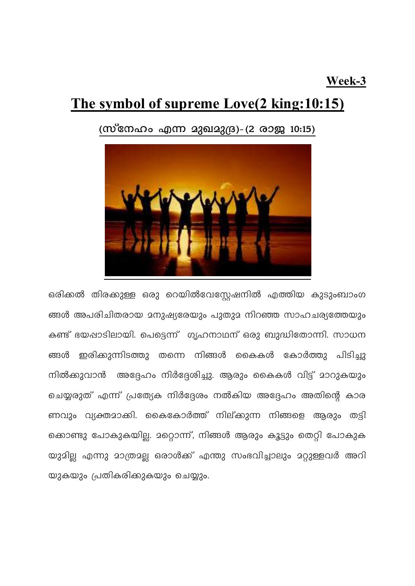## Week-3

## The symbol of supreme Love(2 king:10:15)

(സ്നേഹം എന്ന മുഖമുദ്ര)- (2 രാജ 10:15)



ഒരിക്കൽ തിരക്കുള്ള ഒരു റെയിൽവേസ്ലേഷനിൽ എത്തിയ കുടുംബാംഗ ങ്ങൾ അപരിചിതരായ മനുഷ്യരേയും പുതുമ നിറഞ്ഞ സാഹചര്യത്തേയും കണ്ട് ഭയഷാടിലായി. പെട്ടെന്ന് ഗൃഹനാഥന് ഒരു ബുദ്ധിതോന്നി. സാധന ങ്ങൾ ഇരിക്കുന്നിടത്തു തന്നെ നിങ്ങൾ കൈകൾ കോർത്തു പിടിച്ചു നിൽക്കുവാൻ അദ്ദേഹം നിർദ്ദേശിച്ചു. ആരും കൈകൾ വിട്ട് മാറുകയും ചെയ്യരുത് എന്ന് പ്രത്യേക നിർദ്ദേശം നൽകിയ അദ്ദേഹം അതിന്റെ കാര ണവും വ്യക്തമാക്കി. കൈകോർത്ത് നില്ക്കുന്ന നിങ്ങളെ ആരും തട്ടി ക്കൊണ്ടു പോകുകയില്ല. മറ്റൊന്ന്, നിങ്ങൾ ആരും കൂട്ടും തെറ്റി പോകുക യുമില്ല എന്നു മാത്രമല്ല ഒരാൾക്ക് എന്തു സംഭവിച്ചാലും മറ്റുള്ളവർ അറി യുകയും പ്രതികരിക്കുകയും ചെയ്യും.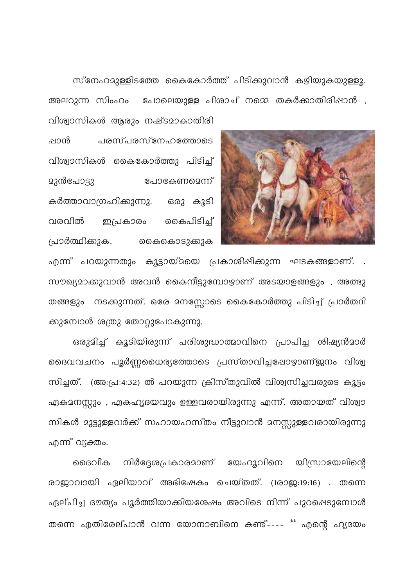സ്നേഹമുള്ളിടത്തേ കൈകോർത്ത് പിടിക്കുവാൻ കഴിയുകയുള്ളൂ. അലറുന്ന സിംഹം പോലെയുള്ള പിശാച് നമ്മെ തകർക്കാതിരിഷാൻ ,

വിശ്വാസികൾ ആരും നഷ്ടമാകാതിരി പ്പാൻ പരസ്പരസ്നേഹത്തോടെ വിശ്വാസികൾ കൈകോർത്തു പിടിച്ച് <u> മുൻപോട്ടു</u> പോകേണമെന്ന് കർത്താവാഗ്രഹിക്കുന്നു. ഒരു കൂടി വരവിൽ ഇപ്രകാരം കൈപിടിച്ച് പ്രാർത്ഥിക്കുക, കൈകൊടുക്കുക



എന്ന് പറയുന്നതും കൂട്ടായ്മയെ പ്രകാശിഷിക്കുന്ന ഘടകങ്ങളാണ്. . സൗഖ്യമാക്കുവാൻ അവൻ കൈനീട്ടുമ്പോഴാണ് അടയാളങ്ങളും , അത്ഭു തങ്ങളും നടക്കുന്നത്. ഒരേ മനസ്സോടെ കൈകോർത്തു പിടിച്ച് പ്രാർത്ഥി ക്കുമ്പോൾ ശത്രു തോറ്റുപോകുന്നു.

ഒരുമിച്ച് കൂടിയിരുന്ന് പരിശുദ്ധാത്മാവിനെ പ്രാപിച്ച ശിഷ്യൻമാർ ദൈവവചനം പൂർണ്ണധൈര്യത്തോടെ പ്രസ്താവിച്ചപ്പോഴാണ്ജനം വിശ്വ സിച്ചത്. (അ:പ്ര:4:32) ൽ പറയുന്ന ക്രിസ്തുവിൽ വിശ്വസിച്ചവരുടെ കൂട്ടം ഏകമനസ്സും , ഏകഹൃദയവും ഉള്ളവരായിരുന്നു എന്ന്. അതായത് വിശ്വാ സികൾ മുട്ടുള്ളവർക്ക് സഹായഹസ്തം നീട്ടുവാൻ മനസ്സുള്ളവരായിരുന്നു എന്ന് വ്യക്തം.

ദൈവീക നിർദ്ദേശപ്രകാരമാണ് യേഹൂവിനെ യിസ്രായേലിന്റെ രാജാവായി ഏലിയാവ് അഭിഷേകം ചെയ്തത്. (1രാജ:19:16) . തന്നെ ഏല്പിച്ച ദൗത്യം പൂർത്തിയാക്കിയശേഷം അവിടെ നിന്ന് പുറപ്പെടുമ്പോൾ തന്നെ എതിരേല്പാൻ വന്ന യോനാബിനെ കണ്ട്---- '' എന്റെ ഹൃദയം